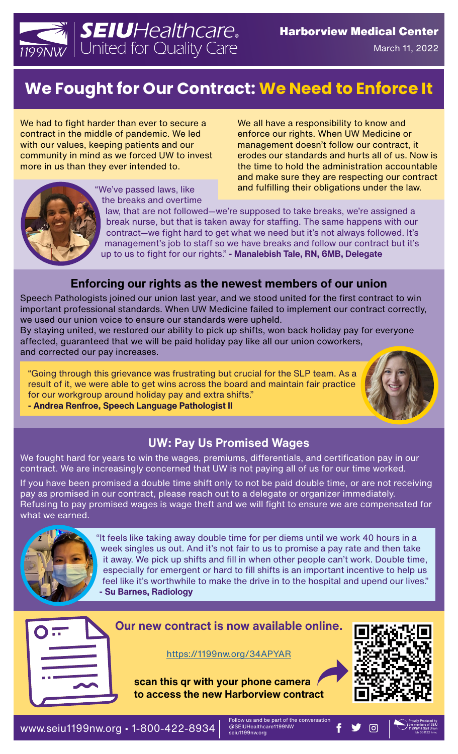

March 11, 2022

# **We Fought for Our Contract: We Need to Enforce It**

We had to fight harder than ever to secure a contract in the middle of pandemic. We led with our values, keeping patients and our community in mind as we forced UW to invest more in us than they ever intended to.

We all have a responsibility to know and enforce our rights. When UW Medicine or management doesn't follow our contract, it erodes our standards and hurts all of us. Now is the time to hold the administration accountable and make sure they are respecting our contract "We've passed laws, like **and fulfilling their obligations under the law.** 



the breaks and overtime

law, that are not followed—we're supposed to take breaks, we're assigned a break nurse, but that is taken away for staffing. The same happens with our contract—we fight hard to get what we need but it's not always followed. It's management's job to staff so we have breaks and follow our contract but it's up to us to fight for our rights." **- Manalebish Tale, RN, 6MB, Delegate**

#### **Enforcing our rights as the newest members of our union**

Speech Pathologists joined our union last year, and we stood united for the first contract to win important professional standards. When UW Medicine failed to implement our contract correctly, we used our union voice to ensure our standards were upheld.

By staying united, we restored our ability to pick up shifts, won back holiday pay for everyone affected, guaranteed that we will be paid holiday pay like all our union coworkers, and corrected our pay increases.

"Going through this grievance was frustrating but crucial for the SLP team. As a result of it, we were able to get wins across the board and maintain fair practice for our workgroup around holiday pay and extra shifts."

**- Andrea Renfroe, Speech Language Pathologist II**

#### **UW: Pay Us Promised Wages**

We fought hard for years to win the wages, premiums, differentials, and certification pay in our contract. We are increasingly concerned that UW is not paying all of us for our time worked.

If you have been promised a double time shift only to not be paid double time, or are not receiving pay as promised in our contract, please reach out to a delegate or organizer immediately. Refusing to pay promised wages is wage theft and we will fight to ensure we are compensated for what we earned.



"It feels like taking away double time for per diems until we work 40 hours in a week singles us out. And it's not fair to us to promise a pay rate and then take it away. We pick up shifts and fill in when other people can't work. Double time, especially for emergent or hard to fill shifts is an important incentive to help us feel like it's worthwhile to make the drive in to the hospital and upend our lives." **- Su Barnes, Radiology**

Follow us and be part of the conversation

@SEIUHealthcare1199NW seiu1199nw.org



### **Our new contract is now available online.**

<https://1199nw.org/34APYAR>

**scan this qr with your phone camera to access the new Harborview contract**



တြ